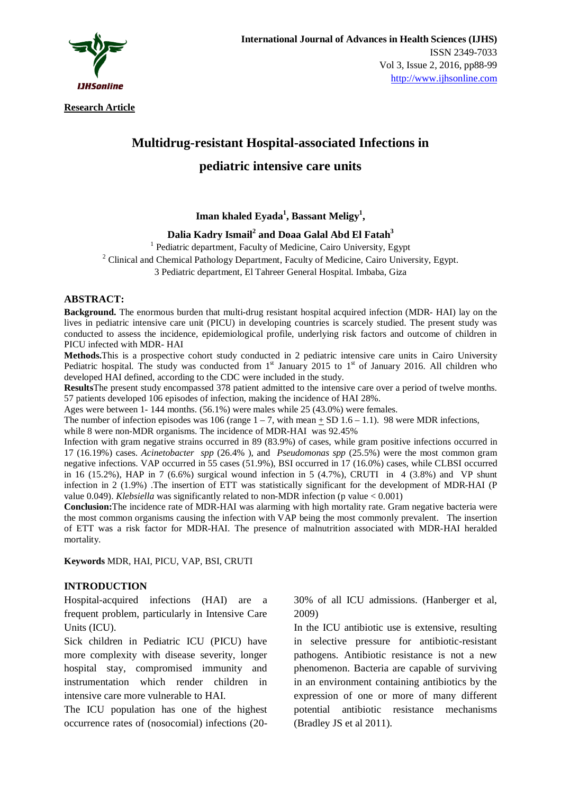

**Research Article**

# **Multidrug-resistant Hospital-associated Infections in pediatric intensive care units**

## **Iman khaled Eyada<sup>1</sup> , Bassant Meligy<sup>1</sup> ,**

**Dalia Kadry Ismail<sup>2</sup> and Doaa Galal Abd El Fatah<sup>3</sup>**

1 Pediatric department, Faculty of Medicine, Cairo University, Egypt

 $2^2$  Clinical and Chemical Pathology Department, Faculty of Medicine, Cairo University, Egypt.

3 Pediatric department, El Tahreer General Hospital. Imbaba, Giza

#### **ABSTRACT:**

**Background.** The enormous burden that multi-drug resistant hospital acquired infection (MDR- HAI) lay on the lives in pediatric intensive care unit (PICU) in developing countries is scarcely studied. The present study was conducted to assess the incidence, epidemiological profile, underlying risk factors and outcome of children in PICU infected with MDR- HAI

**Methods.**This is a prospective cohort study conducted in 2 pediatric intensive care units in Cairo University Pediatric hospital. The study was conducted from  $1<sup>st</sup>$  January 2015 to  $1<sup>st</sup>$  of January 2016. All children who developed HAI defined, according to the CDC were included in the study.

**Results**The present study encompassed 378 patient admitted to the intensive care over a period of twelve months. 57 patients developed 106 episodes of infection, making the incidence of HAI 28%.

Ages were between 1- 144 months. (56.1%) were males while 25 (43.0%) were females.

The number of infection episodes was 106 (range  $1 - 7$ , with mean  $\pm$  SD 1.6 – 1.1). 98 were MDR infections,

while 8 were non-MDR organisms. The incidence of MDR-HAI was 92.45%

Infection with gram negative strains occurred in 89 (83.9%) of cases, while gram positive infections occurred in 17 (16.19%) cases. *Acinetobacter spp* (26.4% ), and *Pseudomonas spp* (25.5%) were the most common gram negative infections. VAP occurred in 55 cases (51.9%), BSI occurred in 17 (16.0%) cases, while CLBSI occurred in 16 (15.2%), HAP in 7 (6.6%) surgical wound infection in 5 (4.7%), CRUTI in 4 (3.8%) and VP shunt infection in 2 (1.9%) .The insertion of ETT was statistically significant for the development of MDR-HAI (P value 0.049). *Klebsiella* was significantly related to non-MDR infection (p value < 0.001)

**Conclusion:**The incidence rate of MDR-HAI was alarming with high mortality rate. Gram negative bacteria were the most common organisms causing the infection with VAP being the most commonly prevalent. The insertion of ETT was a risk factor for MDR-HAI. The presence of malnutrition associated with MDR-HAI heralded mortality.

**Keywords** MDR, HAI, PICU, VAP, BSI, CRUTI

#### **INTRODUCTION**

Hospital-acquired infections (HAI) are a frequent problem, particularly in Intensive Care Units (ICU).

Sick children in Pediatric ICU (PICU) have more complexity with disease severity, longer hospital stay, compromised immunity and instrumentation which render children in intensive care more vulnerable to HAI.

The ICU population has one of the highest occurrence rates of (nosocomial) infections (2030% of all ICU admissions. (Hanberger et al, 2009)

In the ICU antibiotic use is extensive, resulting in selective pressure for antibiotic-resistant pathogens. Antibiotic resistance is not a new phenomenon. Bacteria are capable of surviving in an environment containing antibiotics by the expression of one or more of many different potential antibiotic resistance mechanisms (Bradley JS et al 2011).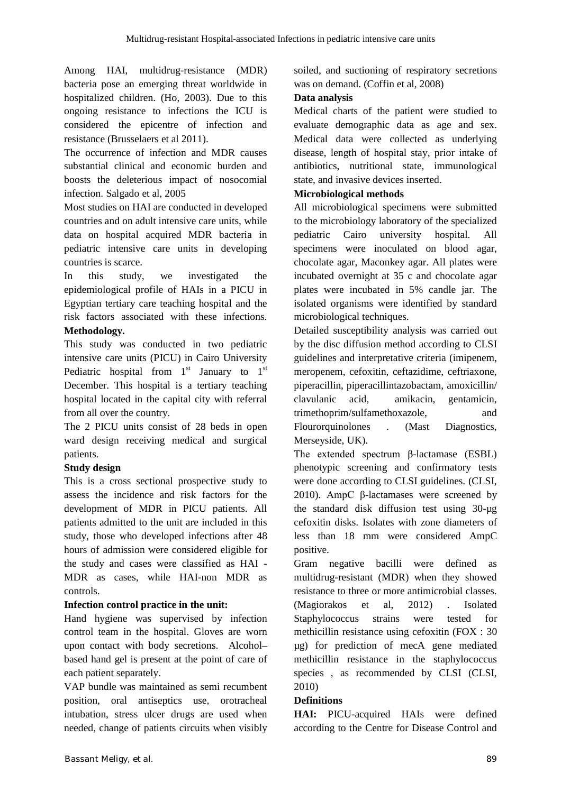Among HAI, multidrug-resistance (MDR) bacteria pose an emerging threat worldwide in hospitalized children. (Ho, 2003). Due to this ongoing resistance to infections the ICU is considered the epicentre of infection and resistance (Brusselaers et al 2011).

The occurrence of infection and MDR causes substantial clinical and economic burden and boosts the deleterious impact of nosocomial infection. Salgado et al, 2005

Most studies on HAI are conducted in developed countries and on adult intensive care units, while data on hospital acquired MDR bacteria in pediatric intensive care units in developing countries is scarce.

In this study, we investigated the epidemiological profile of HAIs in a PICU in Egyptian tertiary care teaching hospital and the risk factors associated with these infections. **Methodology.**

This study was conducted in two pediatric intensive care units (PICU) in Cairo University Pediatric hospital from  $1<sup>st</sup>$  January to  $1<sup>st</sup>$ December. This hospital is a tertiary teaching hospital located in the capital city with referral from all over the country.

The 2 PICU units consist of 28 beds in open ward design receiving medical and surgical patients.

## **Study design**

This is a cross sectional prospective study to assess the incidence and risk factors for the development of MDR in PICU patients. All patients admitted to the unit are included in this study, those who developed infections after 48 hours of admission were considered eligible for the study and cases were classified as HAI - MDR as cases, while HAI-non MDR as controls.

## **Infection control practice in the unit:**

Hand hygiene was supervised by infection control team in the hospital. Gloves are worn upon contact with body secretions. Alcohol– based hand gel is present at the point of care of each patient separately.

VAP bundle was maintained as semi recumbent position, oral antiseptics use, orotracheal intubation, stress ulcer drugs are used when needed, change of patients circuits when visibly soiled, and suctioning of respiratory secretions was on demand. (Coffin et al, 2008)

## **Data analysis**

Medical charts of the patient were studied to evaluate demographic data as age and sex. Medical data were collected as underlying disease, length of hospital stay, prior intake of antibiotics, nutritional state, immunological state, and invasive devices inserted.

## **Microbiological methods**

All microbiological specimens were submitted to the microbiology laboratory of the specialized pediatric Cairo university hospital. All specimens were inoculated on blood agar, chocolate agar, Maconkey agar. All plates were incubated overnight at 35 c and chocolate agar plates were incubated in 5% candle jar. The isolated organisms were identified by standard microbiological techniques.

Detailed susceptibility analysis was carried out by the disc diffusion method according to CLSI guidelines and interpretative criteria (imipenem, meropenem, cefoxitin, ceftazidime, ceftriaxone, piperacillin, piperacillintazobactam, amoxicillin/ clavulanic acid, amikacin, gentamicin, trimethoprim/sulfamethoxazole, and Flourorquinolones . (Mast Diagnostics, Merseyside, UK).

The extended spectrum β-lactamase (ESBL) phenotypic screening and confirmatory tests were done according to CLSI guidelines. (CLSI, 2010). AmpC β-lactamases were screened by the standard disk diffusion test using 30-µg cefoxitin disks. Isolates with zone diameters of less than 18 mm were considered AmpC positive.

Gram negative bacilli were defined as multidrug-resistant (MDR) when they showed resistance to three or more antimicrobial classes. (Magiorakos et al, 2012) . Isolated Staphylococcus strains were tested for methicillin resistance using cefoxitin (FOX : 30 µg) for prediction of mecA gene mediated methicillin resistance in the staphylococcus species , as recommended by CLSI (CLSI, 2010)

# **Definitions**

**HAI:** PICU-acquired HAIs were defined according to the Centre for Disease Control and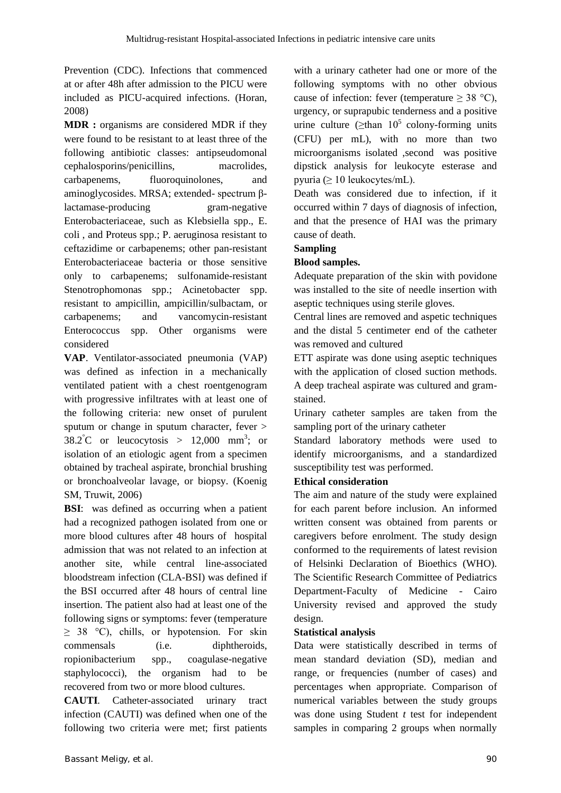Prevention (CDC). Infections that commenced at or after 48h after admission to the PICU were included as PICU-acquired infections. (Horan, 2008)

**MDR** : organisms are considered MDR if they were found to be resistant to at least three of the following antibiotic classes: antipseudomonal cephalosporins/penicillins, macrolides, carbapenems, fluoroquinolones, and aminoglycosides. MRSA; extended- spectrum βlactamase-producing gram-negative Enterobacteriaceae, such as Klebsiella spp., E. coli , and Proteus spp.; P. aeruginosa resistant to ceftazidime or carbapenems; other pan-resistant Enterobacteriaceae bacteria or those sensitive only to carbapenems; sulfonamide-resistant Stenotrophomonas spp.; Acinetobacter spp. resistant to ampicillin, ampicillin/sulbactam, or carbapenems; and vancomycin-resistant Enterococcus spp. Other organisms were considered

**VAP**. Ventilator-associated pneumonia (VAP) was defined as infection in a mechanically ventilated patient with a chest roentgenogram with progressive infiltrates with at least one of the following criteria: new onset of purulent sputum or change in sputum character, fever >  $38.2^{\circ}$ C or leucocytosis > 12,000 mm<sup>3</sup>; or isolation of an etiologic agent from a specimen obtained by tracheal aspirate, bronchial brushing or bronchoalveolar lavage, or biopsy. (Koenig SM, Truwit, 2006)

**BSI:** was defined as occurring when a patient had a recognized pathogen isolated from one or more blood cultures after 48 hours of hospital admission that was not related to an infection at another site, while central line-associated bloodstream infection (CLA-BSI) was defined if the BSI occurred after 48 hours of central line insertion. The patient also had at least one of the following signs or symptoms: fever (temperature  $\geq$  38 °C), chills, or hypotension. For skin commensals (i.e. diphtheroids, ropionibacterium spp., coagulase-negative staphylococci), the organism had to be recovered from two or more blood cultures.

**CAUTI**. Catheter-associated urinary tract infection (CAUTI) was defined when one of the following two criteria were met; first patients with a urinary catheter had one or more of the following symptoms with no other obvious cause of infection: fever (temperature  $\geq$  38 °C), urgency, or suprapubic tenderness and a positive urine culture ( $\geq$ than 10<sup>5</sup> colony-forming units (CFU) per mL), with no more than two microorganisms isolated ,second was positive dipstick analysis for leukocyte esterase and pyuria ( $\geq 10$  leukocytes/mL).

Death was considered due to infection, if it occurred within 7 days of diagnosis of infection, and that the presence of HAI was the primary cause of death.

## **Sampling**

## **Blood samples.**

Adequate preparation of the skin with povidone was installed to the site of needle insertion with aseptic techniques using sterile gloves.

Central lines are removed and aspetic techniques and the distal 5 centimeter end of the catheter was removed and cultured

ETT aspirate was done using aseptic techniques with the application of closed suction methods. A deep tracheal aspirate was cultured and gramstained.

Urinary catheter samples are taken from the sampling port of the urinary catheter

Standard laboratory methods were used to identify microorganisms, and a standardized susceptibility test was performed.

## **Ethical consideration**

The aim and nature of the study were explained for each parent before inclusion. An informed written consent was obtained from parents or caregivers before enrolment. The study design conformed to the requirements of latest revision of Helsinki Declaration of Bioethics (WHO). The Scientific Research Committee of Pediatrics Department-Faculty of Medicine - Cairo University revised and approved the study design.

## **Statistical analysis**

Data were statistically described in terms of mean standard deviation (SD), median and range, or frequencies (number of cases) and percentages when appropriate. Comparison of numerical variables between the study groups was done using Student *t* test for independent samples in comparing 2 groups when normally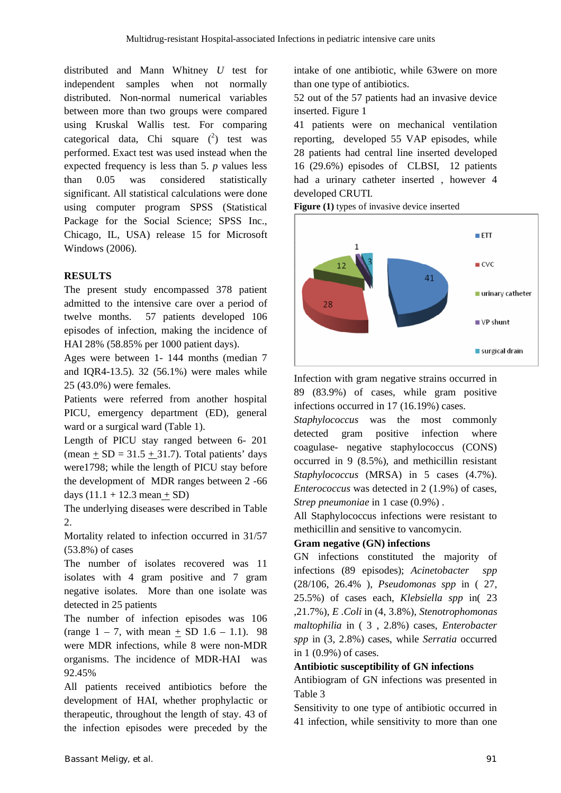distributed and Mann Whitney *U* test for independent samples when not normally distributed. Non-normal numerical variables between more than two groups were compared using Kruskal Wallis test. For comparing categorical data, Chi square  $(2)$  test was performed. Exact test was used instead when the expected frequency is less than 5. *p* values less than 0.05 was considered statistically significant. All statistical calculations were done using computer program SPSS (Statistical Package for the Social Science; SPSS Inc., Chicago, IL, USA) release 15 for Microsoft Windows (2006).

## **RESULTS**

The present study encompassed 378 patient admitted to the intensive care over a period of twelve months. 57 patients developed 106 episodes of infection, making the incidence of HAI 28% (58.85% per 1000 patient days).

Ages were between 1- 144 months (median 7 and IQR4-13.5). 32 (56.1%) were males while 25 (43.0%) were females.

Patients were referred from another hospital PICU, emergency department (ED), general ward or a surgical ward (Table 1).

Length of PICU stay ranged between 6- 201 (mean  $+$  SD = 31.5  $+$  31.7). Total patients' days were1798; while the length of PICU stay before the development of MDR ranges between 2 -66 days  $(11.1 + 12.3 \text{ mean} + \text{SD})$ 

The underlying diseases were described in Table  $\mathcal{L}$ 

Mortality related to infection occurred in 31/57 (53.8%) of cases

The number of isolates recovered was 11 isolates with 4 gram positive and 7 gram negative isolates. More than one isolate was detected in 25 patients

The number of infection episodes was 106  $(range 1 – 7, with mean + SD 1.6 – 1.1). 98$ were MDR infections, while 8 were non-MDR organisms. The incidence of MDR-HAI was 92.45%

All patients received antibiotics before the development of HAI, whether prophylactic or therapeutic, throughout the length of stay. 43 of the infection episodes were preceded by the

intake of one antibiotic, while 63were on more than one type of antibiotics.

52 out of the 57 patients had an invasive device inserted. Figure 1

41 patients were on mechanical ventilation reporting, developed 55 VAP episodes, while 28 patients had central line inserted developed 16 (29.6%) episodes of CLBSI, 12 patients had a urinary catheter inserted , however 4 developed CRUTI.





Infection with gram negative strains occurred in 89 (83.9%) of cases, while gram positive infections occurred in 17 (16.19%) cases.

*Staphylococcus* was the most commonly detected gram positive infection where coagulase- negative staphylococcus (CONS) occurred in 9 (8.5%), and methicillin resistant *Staphylococcus* (MRSA) in 5 cases (4.7%). *Enterococcus* was detected in 2 (1.9%) of cases, *Strep pneumoniae* in 1 case (0.9%) .

All Staphylococcus infections were resistant to methicillin and sensitive to vancomycin.

#### **Gram negative (GN) infections**

GN infections constituted the majority of infections (89 episodes); *Acinetobacter spp* (28/106, 26.4% ), *Pseudomonas spp* in ( 27, 25.5%) of cases each, *Klebsiella spp* in( 23 ,21.7%), *E .Coli* in (4, 3.8%), *Stenotrophomonas maltophilia* in ( 3 , 2.8%) cases, *Enterobacter spp* in (3, 2.8%) cases, while *Serratia* occurred in 1 (0.9%) of cases.

#### **Antibiotic susceptibility of GN infections**

Antibiogram of GN infections was presented in Table 3

Sensitivity to one type of antibiotic occurred in 41 infection, while sensitivity to more than one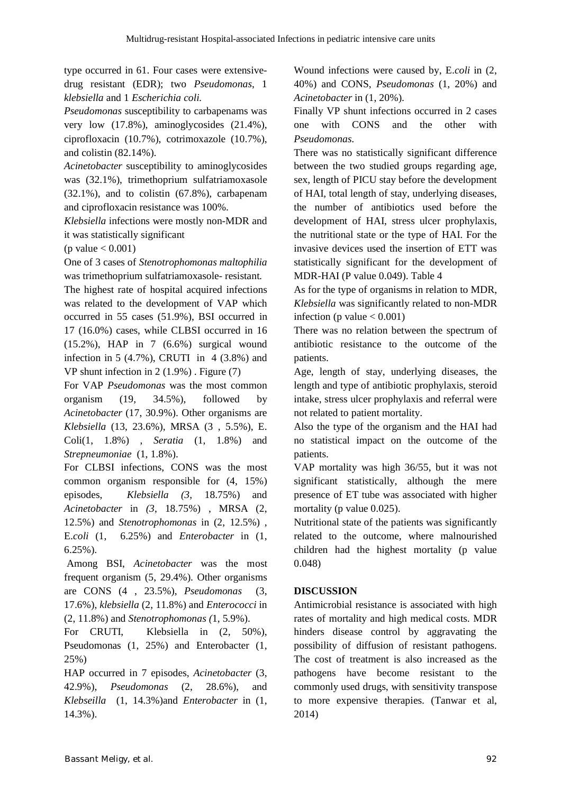type occurred in 61. Four cases were extensivedrug resistant (EDR); two *Pseudomonas*, 1 *klebsiella* and 1 *Escherichia coli.* 

*Pseudomonas* susceptibility to carbapenams was very low (17.8%), aminoglycosides (21.4%), ciprofloxacin (10.7%), cotrimoxazole (10.7%), and colistin (82.14%).

*Acinetobacter* susceptibility to aminoglycosides was (32.1%), trimethoprium sulfatriamoxasole (32.1%), and to colistin (67.8%), carbapenam and ciprofloxacin resistance was 100%.

*Klebsiella* infections were mostly non-MDR and it was statistically significant

 $(p$  value  $< 0.001$ )

One of 3 cases of *Stenotrophomonas maltophilia* was trimethoprium sulfatriamoxasole- resistant*.*

The highest rate of hospital acquired infections was related to the development of VAP which occurred in 55 cases (51.9%), BSI occurred in 17 (16.0%) cases, while CLBSI occurred in 16 (15.2%), HAP in 7 (6.6%) surgical wound infection in 5  $(4.7\%)$ , CRUTI in 4  $(3.8\%)$  and VP shunt infection in 2 (1.9%) . Figure (7)

For VAP *Pseudomonas* was the most common organism (19, 34.5%), followed by *Acinetobacter* (17, 30.9%). Other organisms are *Klebsiella* (13, 23.6%), MRSA (3 , 5.5%), E. Coli(1, 1.8%) , *Seratia* (1, 1.8%) and *Strepneumoniae* (1, 1.8%).

For CLBSI infections, CONS was the most common organism responsible for (4, 15%) episodes, *Klebsiella (3*, 18.75%) and *Acinetobacter* in *(3*, 18.75%) , MRSA (2, 12.5%) and *Stenotrophomonas* in (2, 12.5%) , E.*coli* (1, 6.25%) and *Enterobacter* in (1, 6.25%).

Among BSI, *Acinetobacter* was the most frequent organism (5, 29.4%). Other organisms are CONS (4 , 23.5%), *Pseudomonas* (3, 17.6%), *klebsiella* (2, 11.8%) and *Enterococci* in (2, 11.8%) and *Stenotrophomonas (*1, 5.9%).

For CRUTI, Klebsiella in  $(2, 50\%)$ , Pseudomonas (1, 25%) and Enterobacter (1, 25%)

HAP occurred in 7 episodes, *Acinetobacter* (3, 42.9%), *Pseudomonas* (2, 28.6%), and *Klebseilla* (1, 14.3%)and *Enterobacter* in (1, 14.3%).

Wound infections were caused by, E.*coli* in (2, 40%) and CONS, *Pseudomonas* (1, 20%) and *Acinetobacter* in (1, 20%).

Finally VP shunt infections occurred in 2 cases one with CONS and the other with *Pseudomonas*.

There was no statistically significant difference between the two studied groups regarding age, sex, length of PICU stay before the development of HAI, total length of stay, underlying diseases, the number of antibiotics used before the development of HAI, stress ulcer prophylaxis, the nutritional state or the type of HAI. For the invasive devices used the insertion of ETT was statistically significant for the development of MDR-HAI (P value 0.049). Table 4

As for the type of organisms in relation to MDR, *Klebsiella* was significantly related to non-MDR infection (p value  $< 0.001$ )

There was no relation between the spectrum of antibiotic resistance to the outcome of the patients.

Age, length of stay, underlying diseases, the length and type of antibiotic prophylaxis, steroid intake, stress ulcer prophylaxis and referral were not related to patient mortality.

Also the type of the organism and the HAI had no statistical impact on the outcome of the patients.

VAP mortality was high 36/55, but it was not significant statistically, although the mere presence of ET tube was associated with higher mortality (p value 0.025).

Nutritional state of the patients was significantly related to the outcome, where malnourished children had the highest mortality (p value 0.048)

## **DISCUSSION**

Antimicrobial resistance is associated with high rates of mortality and high medical costs. MDR hinders disease control by aggravating the possibility of diffusion of resistant pathogens. The cost of treatment is also increased as the pathogens have become resistant to the commonly used drugs, with sensitivity transpose to more expensive therapies. (Tanwar et al, 2014)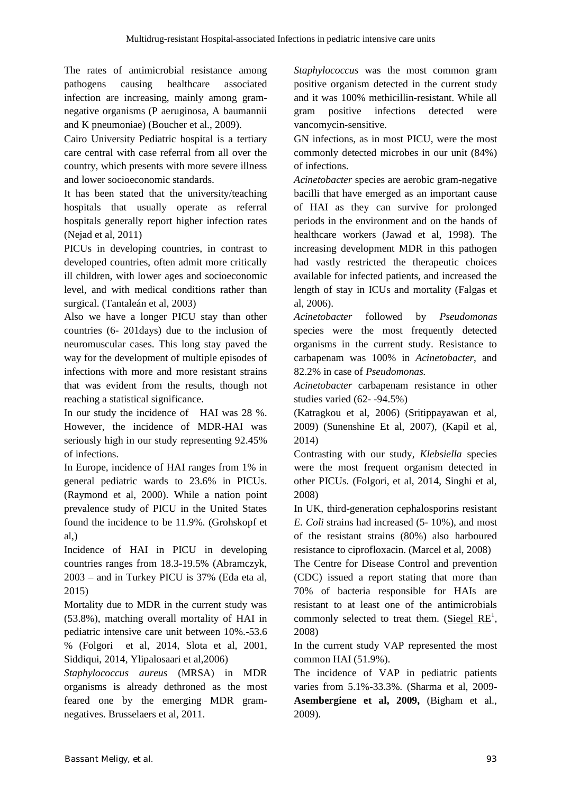The rates of antimicrobial resistance among pathogens causing healthcare associated infection are increasing, mainly among gramnegative organisms (P aeruginosa, A baumannii and K pneumoniae) (Boucher et al., 2009).

Cairo University Pediatric hospital is a tertiary care central with case referral from all over the country, which presents with more severe illness and lower socioeconomic standards.

It has been stated that the university/teaching hospitals that usually operate as referral hospitals generally report higher infection rates (Nejad et al, 2011)

PICUs in developing countries, in contrast to developed countries, often admit more critically ill children, with lower ages and socioeconomic level, and with medical conditions rather than surgical. (Tantaleán et al, 2003)

Also we have a longer PICU stay than other countries (6- 201days) due to the inclusion of neuromuscular cases. This long stay paved the way for the development of multiple episodes of infections with more and more resistant strains that was evident from the results, though not reaching a statistical significance.

In our study the incidence of HAI was 28 %. However, the incidence of MDR-HAI was seriously high in our study representing 92.45% of infections.

In Europe, incidence of HAI ranges from 1% in general pediatric wards to 23.6% in PICUs. (Raymond et al, 2000). While a nation point prevalence study of PICU in the United States found the incidence to be 11.9%. (Grohskopf et  $al.$ )

Incidence of HAI in PICU in developing countries ranges from 18.3-19.5% (Abramczyk, 2003 – and in Turkey PICU is 37% (Eda eta al, 2015)

Mortality due to MDR in the current study was (53.8%), matching overall mortality of HAI in pediatric intensive care unit between 10%.-53.6 % (Folgori et al, 2014, Slota et al, 2001, Siddiqui, 2014, Ylipalosaari et al,2006)

*Staphylococcus aureus* (MRSA) in MDR organisms is already dethroned as the most feared one by the emerging MDR gramnegatives. Brusselaers et al, 2011.

*Staphylococcus* was the most common gram positive organism detected in the current study and it was 100% methicillin-resistant. While all gram positive infections detected were vancomycin-sensitive.

GN infections, as in most PICU, were the most commonly detected microbes in our unit (84%) of infections.

*Acinetobacter* species are aerobic gram-negative bacilli that have emerged as an important cause of HAI as they can survive for prolonged periods in the environment and on the hands of healthcare workers (Jawad et al, 1998). The increasing development MDR in this pathogen had vastly restricted the therapeutic choices available for infected patients, and increased the length of stay in ICUs and mortality (Falgas et al, 2006).

*Acinetobacter* followed by *Pseudomonas* species were the most frequently detected organisms in the current study. Resistance to carbapenam was 100% in *Acinetobacter*, and 82.2% in case of *Pseudomonas.*

*Acinetobacter* carbapenam resistance in other studies varied (62- -94.5%)

(Katragkou et al, 2006) (Sritippayawan et al, 2009) (Sunenshine Et al, 2007), (Kapil et al, 2014)

Contrasting with our study, *Klebsiella* species were the most frequent organism detected in other PICUs. (Folgori, et al, 2014, Singhi et al, 2008)

In UK, third-generation cephalosporins resistant *E. Coli* strains had increased (5- 10%), and most of the resistant strains (80%) also harboured resistance to ciprofloxacin. (Marcel et al, 2008)

The Centre for Disease Control and prevention (CDC) issued a report stating that more than 70% of bacteria responsible for HAIs are resistant to at least one of the antimicrobials commonly selected to treat them. (Siegel  $RE<sup>1</sup>$ , 2008)

In the current study VAP represented the most common HAI (51.9%).

The incidence of VAP in pediatric patients varies from 5.1%-33.3%. (Sharma et al, 2009- **Asembergiene et al, 2009,** (Bigham et al., 2009).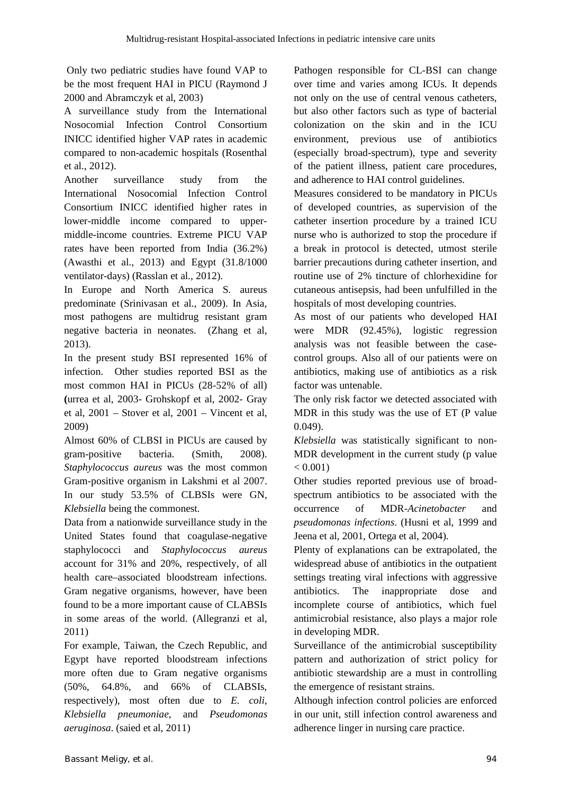Only two pediatric studies have found VAP to be the most frequent HAI in PICU (Raymond J 2000 and Abramczyk et al, 2003)

A surveillance study from the International Nosocomial Infection Control Consortium INICC identified higher VAP rates in academic compared to non-academic hospitals (Rosenthal et al., 2012).

Another surveillance study from the International Nosocomial Infection Control Consortium INICC identified higher rates in lower-middle income compared to uppermiddle-income countries. Extreme PICU VAP rates have been reported from India (36.2%) (Awasthi et al., 2013) and Egypt (31.8/1000 ventilator-days) (Rasslan et al., 2012).

In Europe and North America S. aureus predominate (Srinivasan et al., 2009). In Asia, most pathogens are multidrug resistant gram negative bacteria in neonates. (Zhang et al, 2013).

In the present study BSI represented 16% of infection. Other studies reported BSI as the most common HAI in PICUs (28-52% of all) **(**urrea et al, 2003- Grohskopf et al, 2002- Gray et al, 2001 – Stover et al, 2001 – Vincent et al, 2009)

Almost 60% of CLBSI in PICUs are caused by gram-positive bacteria. (Smith, 2008). *Staphylococcus aureus* was the most common Gram-positive organism in Lakshmi et al 2007. In our study 53.5% of CLBSIs were GN, *Klebsiella* being the commonest.

Data from a nationwide surveillance study in the United States found that coagulase-negative staphylococci and *Staphylococcus aureus*  account for 31% and 20%, respectively, of all health care–associated bloodstream infections. Gram negative organisms, however, have been found to be a more important cause of CLABSIs in some areas of the world. (Allegranzi et al, 2011)

For example, Taiwan, the Czech Republic, and Egypt have reported bloodstream infections more often due to Gram negative organisms (50%, 64.8%, and 66% of CLABSIs, respectively), most often due to *E. coli*, *Klebsiella pneumoniae*, and *Pseudomonas aeruginosa*. (saied et al, 2011)

Pathogen responsible for CL-BSI can change over time and varies among ICUs. It depends not only on the use of central venous catheters, but also other factors such as type of bacterial colonization on the skin and in the ICU environment, previous use of antibiotics (especially broad-spectrum), type and severity of the patient illness, patient care procedures, and adherence to HAI control guidelines.

Measures considered to be mandatory in PICUs of developed countries, as supervision of the catheter insertion procedure by a trained ICU nurse who is authorized to stop the procedure if a break in protocol is detected, utmost sterile barrier precautions during catheter insertion, and routine use of 2% tincture of chlorhexidine for cutaneous antisepsis, had been unfulfilled in the hospitals of most developing countries.

As most of our patients who developed HAI were MDR (92.45%), logistic regression analysis was not feasible between the casecontrol groups. Also all of our patients were on antibiotics, making use of antibiotics as a risk factor was untenable.

The only risk factor we detected associated with MDR in this study was the use of ET (P value 0.049).

*Klebsiella* was statistically significant to non-MDR development in the current study (p value  $< 0.001$ )

Other studies reported previous use of broadspectrum antibiotics to be associated with the occurrence of MDR-*Acinetobacter* and *pseudomonas infections*. (Husni et al, 1999 and Jeena et al, 2001, Ortega et al, 2004).

Plenty of explanations can be extrapolated, the widespread abuse of antibiotics in the outpatient settings treating viral infections with aggressive antibiotics. The inappropriate dose and incomplete course of antibiotics, which fuel antimicrobial resistance, also plays a major role in developing MDR.

Surveillance of the antimicrobial susceptibility pattern and authorization of strict policy for antibiotic stewardship are a must in controlling the emergence of resistant strains.

Although infection control policies are enforced in our unit, still infection control awareness and adherence linger in nursing care practice.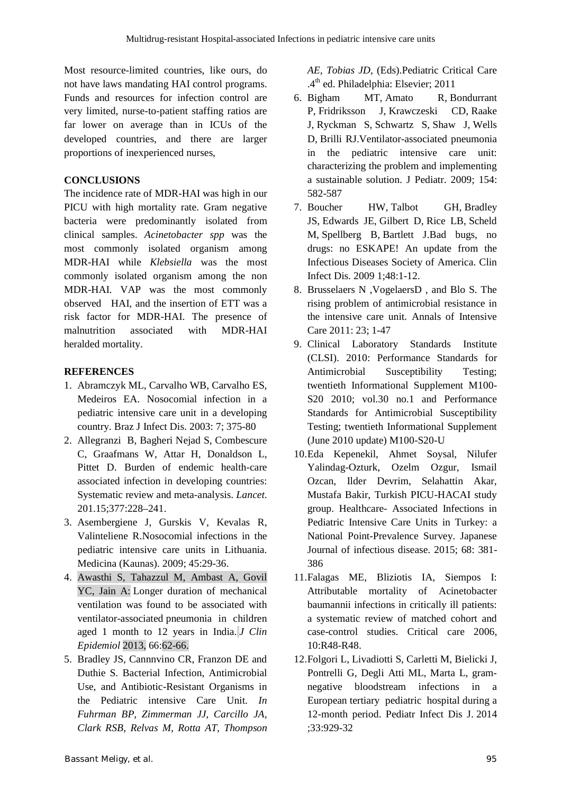Most resource-limited countries, like ours, do not have laws mandating HAI control programs. Funds and resources for infection control are very limited, nurse-to-patient staffing ratios are far lower on average than in ICUs of the developed countries, and there are larger proportions of inexperienced nurses,

#### **CONCLUSIONS**

The incidence rate of MDR-HAI was high in our PICU with high mortality rate. Gram negative bacteria were predominantly isolated from clinical samples. *Acinetobacter spp* was the most commonly isolated organism among MDR-HAI while *Klebsiella* was the most commonly isolated organism among the non MDR-HAI. VAP was the most commonly observed HAI, and the insertion of ETT was a risk factor for MDR-HAI. The presence of malnutrition associated with MDR-HAI heralded mortality.

#### **REFERENCES**

- 1. Abramczyk ML, Carvalho WB, Carvalho ES, Medeiros EA. Nosocomial infection in a pediatric intensive care unit in a developing country. Braz J Infect Dis. 2003: 7; 375-80
- 2. Allegranzi B, Bagheri Nejad S, Combescure C, Graafmans W, Attar H, Donaldson L, Pittet D. Burden of endemic health-care associated infection in developing countries: Systematic review and meta-analysis. *Lancet*. 201.15;377:228–241.
- 3. Asembergiene J, Gurskis V, Kevalas R, Valinteliene R.Nosocomial infections in the pediatric intensive care units in Lithuania. Medicina (Kaunas). 2009; 45:29-36.
- 4. Awasthi S, Tahazzul M, Ambast A, Govil YC, Jain A: Longer duration of mechanical ventilation was found to be associated with ventilator-associated pneumonia in children aged 1 month to 12 years in India. *J Clin Epidemiol* 2013, 66:62-66.
- 5. Bradley JS, Cannnvino CR, Franzon DE and Duthie S. Bacterial Infection, Antimicrobial Use, and Antibiotic-Resistant Organisms in the Pediatric intensive Care Unit. *In Fuhrman BP, Zimmerman JJ, Carcillo JA, Clark RSB, Relvas M, Rotta AT, Thompson*

*AE, Tobias JD,* (Eds).Pediatric Critical Care .4<sup>th</sup> ed. Philadelphia: Elsevier; 2011

- 6. Bigham MT, Amato R, Bondurrant P, Fridriksson J, Krawczeski CD, Raake J, Ryckman S, Schwartz S, Shaw J, Wells D, Brilli RJ.Ventilator-associated pneumonia in the pediatric intensive care unit: characterizing the problem and implementing a sustainable solution. J Pediatr. 2009; 154: 582-587
- 7. Boucher HW, Talbot GH, Bradley JS, Edwards JE, Gilbert D, Rice LB, Scheld M, Spellberg B, Bartlett J.Bad bugs, no drugs: no ESKAPE! An update from the Infectious Diseases Society of America. Clin Infect Dis. 2009 1;48:1-12.
- 8. Brusselaers N ,VogelaersD , and Blo S. The rising problem of antimicrobial resistance in the intensive care unit. Annals of Intensive Care 2011: 23; 1-47
- 9. Clinical Laboratory Standards Institute (CLSI). 2010: Performance Standards for Antimicrobial Susceptibility Testing; twentieth Informational Supplement M100- S<sub>20</sub> 2010; vol.30 no.1 and Performance Standards for Antimicrobial Susceptibility Testing; twentieth Informational Supplement (June 2010 update) M100-S20-U
- 10.Eda Kepenekil, Ahmet Soysal, Nilufer Yalindag-Ozturk, Ozelm Ozgur, Ismail Ozcan, Ilder Devrim, Selahattin Akar, Mustafa Bakir, Turkish PICU-HACAI study group. Healthcare- Associated Infections in Pediatric Intensive Care Units in Turkey: a National Point-Prevalence Survey. Japanese Journal of infectious disease. 2015; 68: 381- 386
- 11.Falagas ME, Bliziotis IA, Siempos I: Attributable mortality of Acinetobacter baumannii infections in critically ill patients: a systematic review of matched cohort and case-control studies. Critical care 2006,  $10 \cdot R48 - R48$
- 12.Folgori L, Livadiotti S, Carletti M, Bielicki J, Pontrelli G, Degli Atti ML, Marta L, gramnegative bloodstream infections in a European tertiary pediatric hospital during a 12-month period. Pediatr Infect Dis J. 2014 ;33:929-32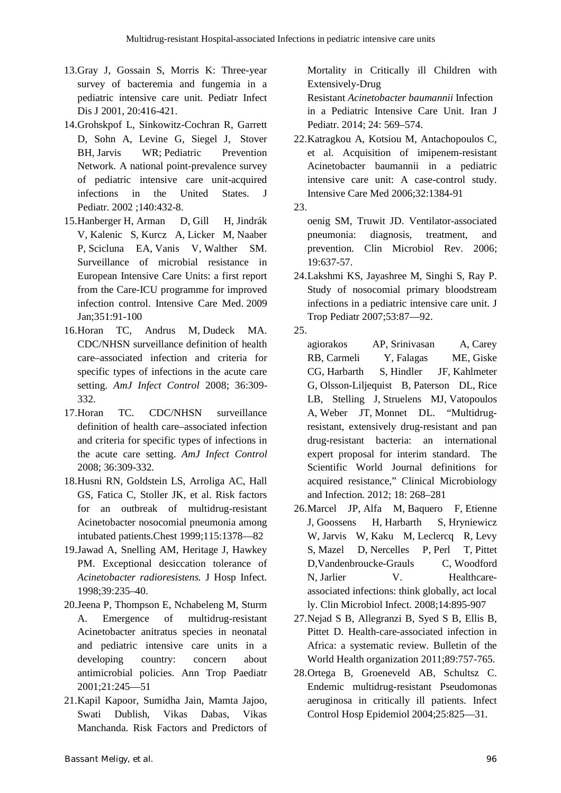- 13.Gray J, Gossain S, Morris K: Three-year survey of bacteremia and fungemia in a pediatric intensive care unit. Pediatr Infect Dis J 2001, 20:416-421.
- 14.Grohskpof L, Sinkowitz-Cochran R, Garrett D, Sohn A, Levine G, Siegel J, Stover BH, Jarvis WR; Pediatric Prevention Network. A national point-prevalence survey of pediatric intensive care unit-acquired infections in the United States J Pediatr. 2002 ;140:432-8.
- 15.Hanberger H, Arman D, Gill H, Jindrák V, Kalenic S, Kurcz A, Licker M, Naaber P, Scicluna EA, Vanis V, Walther SM. Surveillance of microbial resistance in European Intensive Care Units: a first report from the Care-ICU programme for improved infection control. Intensive Care Med. 2009 Jan;351:91-100
- 16.Horan TC, Andrus M, Dudeck MA. CDC/NHSN surveillance definition of health care–associated infection and criteria for specific types of infections in the acute care setting. *AmJ Infect Control* 2008; 36:309- 332.
- 17.Horan TC. CDC/NHSN surveillance definition of health care–associated infection and criteria for specific types of infections in the acute care setting. *AmJ Infect Control* 2008; 36:309-332.
- 18.Husni RN, Goldstein LS, Arroliga AC, Hall GS, Fatica C, Stoller JK, et al. Risk factors for an outbreak of multidrug-resistant Acinetobacter nosocomial pneumonia among intubated patients.Chest 1999;115:1378—82
- 19.Jawad A, Snelling AM, Heritage J, Hawkey PM. Exceptional desiccation tolerance of *Acinetobacter radioresistens.* J Hosp Infect. 1998;39:235–40.
- 20.Jeena P, Thompson E, Nchabeleng M, Sturm A. Emergence of multidrug-resistant Acinetobacter anitratus species in neonatal and pediatric intensive care units in a developing country: concern about antimicrobial policies. Ann Trop Paediatr 2001;21:245—51
- 21.Kapil Kapoor, Sumidha Jain, Mamta Jajoo, Swati Dublish, Vikas Dabas, Vikas Manchanda. Risk Factors and Predictors of

Mortality in Critically ill Children with Extensively-Drug

Resistant *Acinetobacter baumannii* Infection in a Pediatric Intensive Care Unit. Iran J Pediatr. 2014; 24: 569–574.

- 22.Katragkou A, Kotsiou M, Antachopoulos C, et al. Acquisition of imipenem-resistant Acinetobacter baumannii in a pediatric intensive care unit: A case-control study. Intensive Care Med 2006;32:1384-91
- 23.

oenig SM, Truwit JD. Ventilator-associated pneumonia: diagnosis, treatment, and prevention. Clin Microbiol Rev. 2006; 19:637-57.

- 24.Lakshmi KS, Jayashree M, Singhi S, Ray P. Study of nosocomial primary bloodstream infections in a pediatric intensive care unit. J Trop Pediatr 2007;53:87—92.
- 25.

agiorakos AP, Srinivasan A, Carey RB, Carmeli Y, Falagas ME, Giske CG, Harbarth S, Hindler JF, Kahlmeter G, Olsson-Liljequist B, Paterson DL, Rice LB, Stelling J, Struelens MJ, Vatopoulos A, Weber JT, Monnet DL. "Multidrugresistant, extensively drug-resistant and pan drug-resistant bacteria: an international expert proposal for interim standard. The Scientific World Journal definitions for acquired resistance," Clinical Microbiology and Infection. 2012; 18: 268–281

- 26.Marcel JP, Alfa M, Baquero F, Etienne J, Goossens H, Harbarth S, Hryniewicz W, Jarvis W, Kaku M, Leclercq R, Levy S, Mazel D, Nercelles P, Perl T, Pittet D,Vandenbroucke-Grauls C, Woodford N, Jarlier V. Healthcareassociated infections: think globally, act local ly. Clin Microbiol Infect. 2008;14:895-907
- 27.Nejad S B, Allegranzi B, Syed S B, Ellis B, Pittet D. Health-care-associated infection in Africa: a systematic review. Bulletin of the World Health organization 2011;89:757-765.
- 28.Ortega B, Groeneveld AB, Schultsz C. Endemic multidrug-resistant Pseudomonas aeruginosa in critically ill patients. Infect Control Hosp Epidemiol 2004;25:825—31.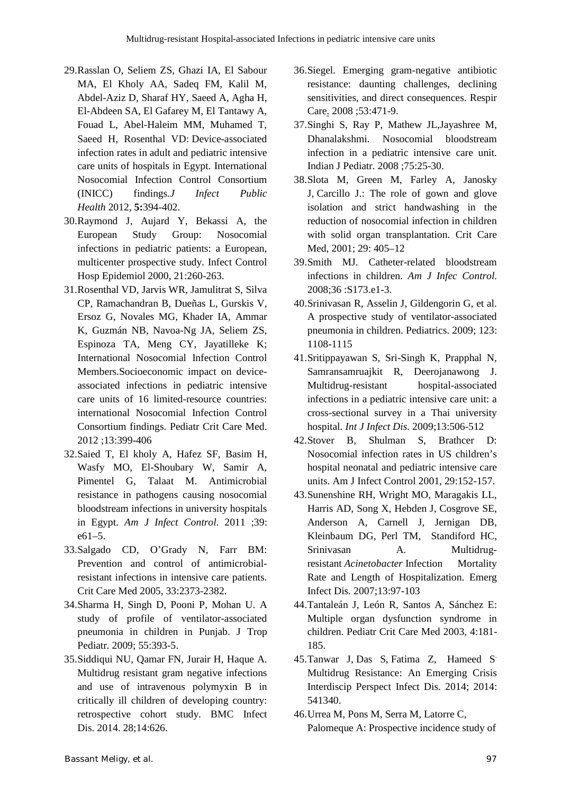- 29.Rasslan O, Seliem ZS, Ghazi IA, El Sabour MA, El Kholy AA, Sadeq FM, Kalil M, Abdel-Aziz D, Sharaf HY, Saeed A, Agha H, El-Abdeen SA, El Gafarey M, El Tantawy A, Fouad L, Abel-Haleim MM, Muhamed T, Saeed H, Rosenthal VD: Device-associated infection rates in adult and pediatric intensive care units of hospitals in Egypt. International Nosocomial Infection Control Consortium (INICC) findings.*J Infect Public Health* 2012, **5:**394-402.
- 30.Raymond J, Aujard Y, Bekassi A, the European Study Group: Nosocomial infections in pediatric patients: a European, multicenter prospective study. Infect Control Hosp Epidemiol 2000, 21:260-263.
- 31.Rosenthal VD, Jarvis WR, Jamulitrat S, Silva CP, Ramachandran B, Dueñas L, Gurskis V, Ersoz G, Novales MG, Khader IA, Ammar K, Guzmán NB, Navoa-Ng JA, Seliem ZS, Espinoza TA, Meng CY, Jayatilleke K; International Nosocomial Infection Control Members.Socioeconomic impact on deviceassociated infections in pediatric intensive care units of 16 limited-resource countries: international Nosocomial Infection Control Consortium findings. Pediatr Crit Care Med. 2012 ;13:399-406
- 32.Saied T, El kholy A, Hafez SF, Basim H, Wasfy MO, El-Shoubary W, Samir A, Pimentel G, Talaat M. Antimicrobial resistance in pathogens causing nosocomial bloodstream infections in university hospitals in Egypt. *Am J Infect Control*. 2011 ;39: e61–5.
- 33.Salgado CD, O'Grady N, Farr BM: Prevention and control of antimicrobialresistant infections in intensive care patients. Crit Care Med 2005, 33:2373-2382.
- 34.Sharma H, Singh D, Pooni P, Mohan U. A study of profile of ventilator-associated pneumonia in children in Punjab. J Trop Pediatr. 2009; 55:393-5.
- 35.Siddiqui NU, Qamar FN, Jurair H, Haque A. Multidrug resistant gram negative infections and use of intravenous polymyxin B in critically ill children of developing country: retrospective cohort study. BMC Infect Dis. 2014. 28;14:626.
- 36.Siegel. Emerging gram-negative antibiotic resistance: daunting challenges, declining sensitivities, and direct consequences. Respir Care. 2008 ;53:471-9.
- 37.Singhi S, Ray P, Mathew JL,Jayashree M, Dhanalakshmi. Nosocomial bloodstream infection in a pediatric intensive care unit. Indian J Pediatr. 2008 ;75:25-30.
- 38.Slota M, Green M, Farley A, Janosky J, Carcillo J.: The role of gown and glove isolation and strict handwashing in the reduction of nosocomial infection in children with solid organ transplantation. Crit Care Med, 2001; 29: 405–12
- 39.Smith MJ. Catheter-related bloodstream infections in children. *Am J Infec Control.* 2008;36 :S173.e1-3.
- 40.Srinivasan R, Asselin J, Gildengorin G, et al. A prospective study of ventilator-associated pneumonia in children. Pediatrics. 2009; 123: 1108-1115
- 41.Sritippayawan S, Sri-Singh K, Prapphal N, Samransamruajkit R, Deerojanawong J. Multidrug-resistant hospital-associated infections in a pediatric intensive care unit: a cross-sectional survey in a Thai university hospital. *Int J Infect Dis*. 2009;13:506-512
- 42.Stover B, Shulman S, Brathcer D: Nosocomial infection rates in US children's hospital neonatal and pediatric intensive care units. Am J Infect Control 2001, 29:152-157.
- 43.Sunenshine RH, Wright MO, Maragakis LL, Harris AD, Song X, Hebden J, Cosgrove SE, Anderson A, Carnell J, Jernigan DB, Kleinbaum DG, Perl TM, Standiford HC, Srinivasan A. Multidrugresistant *Acinetobacter* Infection Mortality Rate and Length of Hospitalization. Emerg Infect Dis. 2007;13:97-103
- 44.Tantaleán J, León R, Santos A, Sánchez E: Multiple organ dysfunction syndrome in children. Pediatr Crit Care Med 2003, 4:181- 185.
- 45.Tanwar J, Das S, Fatima Z, Hameed S. Multidrug Resistance: An Emerging Crisis Interdiscip Perspect Infect Dis. 2014; 2014: 541340.
- 46.Urrea M, Pons M, Serra M, Latorre C, Palomeque A: Prospective incidence study of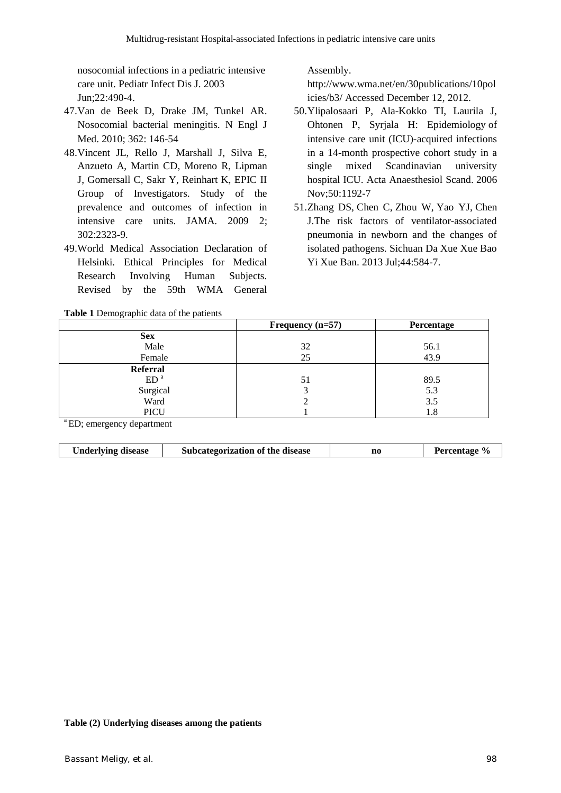nosocomial infections in a pediatric intensive care unit. Pediatr Infect Dis J. 2003 Jun;22:490-4.

- 47.Van de Beek D, Drake JM, Tunkel AR. Nosocomial bacterial meningitis. N Engl J Med. 2010; 362: 146-54
- 48.Vincent JL, Rello J, Marshall J, Silva E, Anzueto A, Martin CD, Moreno R, Lipman J, Gomersall C, Sakr Y, Reinhart K, EPIC II Group of Investigators. Study of the prevalence and outcomes of infection in intensive care units. JAMA. 2009 2; 302:2323-9.
- 49.World Medical Association Declaration of Helsinki. Ethical Principles for Medical Research Involving Human Subjects. Revised by the 59th WMA General

**Table 1** Demographic data of the patients

Assembly.

http://www.wma.net/en/30publications/10pol icies/b3/ Accessed December 12, 2012.

- 50.Ylipalosaari P, Ala-Kokko TI, Laurila J, Ohtonen P, Syrjala H: Epidemiology of intensive care unit (ICU)-acquired infections in a 14-month prospective cohort study in a single mixed Scandinavian university hospital ICU. Acta Anaesthesiol Scand. 2006 Nov;50:1192-7
- 51.Zhang DS, Chen C, Zhou W, Yao YJ, Chen J.The risk factors of ventilator-associated pneumonia in newborn and the changes of isolated pathogens. Sichuan Da Xue Xue Bao Yi Xue Ban. 2013 Jul;44:584-7.

|                 | Frequency $(n=57)$ | Percentage |
|-----------------|--------------------|------------|
| <b>Sex</b>      |                    |            |
| Male            | 32                 | 56.1       |
| Female          | 25                 | 43.9       |
| <b>Referral</b> |                    |            |
| ED <sup>a</sup> | 51                 | 89.5       |
| Surgical        |                    | 5.3        |
| Ward            |                    | 3.5        |
| <b>PICU</b>     |                    | 1.8        |

ED; emergency department

|--|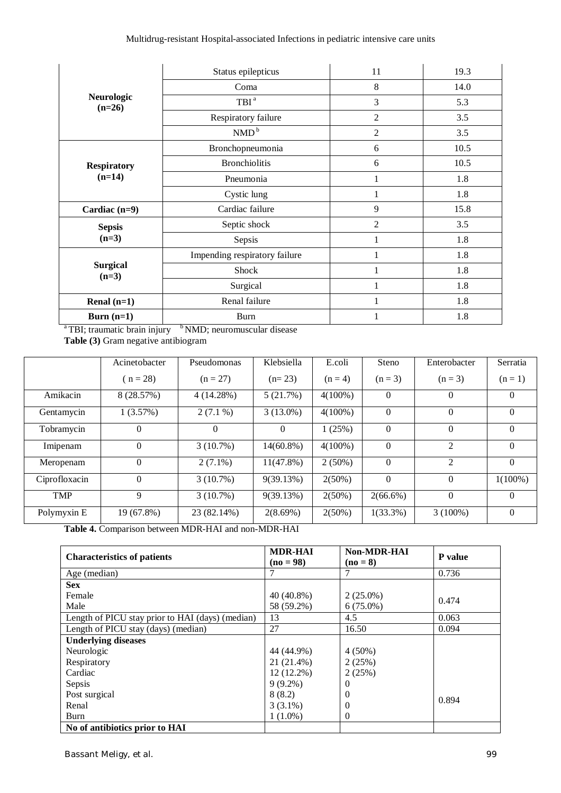|                                           | Status epilepticus            | 11             | 19.3 |
|-------------------------------------------|-------------------------------|----------------|------|
|                                           | Coma                          | 8              | 14.0 |
| Neurologic<br>$(n=26)$                    | TBI <sup>a</sup>              | 3              | 5.3  |
|                                           | Respiratory failure           | $\overline{2}$ | 3.5  |
|                                           | NMD <sup>b</sup>              | $\overline{2}$ | 3.5  |
|                                           | Bronchopneumonia              | 6              | 10.5 |
| <b>Respiratory</b>                        | <b>Bronchiolitis</b>          | 6              | 10.5 |
| $(n=14)$                                  | Pneumonia                     |                | 1.8  |
|                                           | Cystic lung                   |                | 1.8  |
| Cardiac $(n=9)$                           | Cardiac failure               |                | 15.8 |
| <b>Sepsis</b>                             | Septic shock                  | $\overline{2}$ | 3.5  |
| $(n=3)$                                   | Sepsis                        |                | 1.8  |
|                                           | Impending respiratory failure | 1              | 1.8  |
| <b>Surgical</b><br>$(n=3)$                | Shock                         |                | 1.8  |
|                                           | Surgical                      |                | 1.8  |
| Renal $(n=1)$                             | Renal failure                 | 1              | 1.8  |
| Burn $(n=1)$<br>$\sim$ $\sim$ $\sim$<br>. | <b>Burn</b><br>$h - r - r -$  | 1              | 1.8  |

<sup>a</sup>TBI; traumatic brain injury <sup>b</sup>NMD; neuromuscular disease **Table (3)** Gram negative antibiogram

|               | Acinetobacter | Pseudomonas | Klebsiella   | E.coli     | Steno       | Enterobacter   | Serratia   |
|---------------|---------------|-------------|--------------|------------|-------------|----------------|------------|
|               | $n = 28$      | $(n = 27)$  | $(n=23)$     | $(n = 4)$  | $(n = 3)$   | $(n = 3)$      | $(n=1)$    |
| Amikacin      | 8 (28.57%)    | 4(14.28%)   | 5(21.7%)     | $4(100\%)$ | $\theta$    | $\theta$       | $\Omega$   |
| Gentamycin    | 1(3.57%)      | $2(7.1\%)$  | $3(13.0\%)$  | $4(100\%)$ | $\Omega$    | $\Omega$       | $\Omega$   |
| Tobramycin    | $\Omega$      | $\Omega$    | $\theta$     | 1(25%)     | $\Omega$    | $\overline{0}$ | $\Omega$   |
| Imipenam      | $\Omega$      | 3(10.7%)    | $14(60.8\%)$ | $4(100\%)$ | $\Omega$    | 2              | $\Omega$   |
| Meropenam     | $\theta$      | $2(7.1\%)$  | $11(47.8\%)$ | $2(50\%)$  | $\Omega$    | $\mathfrak{D}$ | $\Omega$   |
| Ciprofloxacin | $\theta$      | $3(10.7\%)$ | 9(39.13%)    | $2(50\%)$  | $\Omega$    | $\Omega$       | $1(100\%)$ |
| <b>TMP</b>    | 9             | $3(10.7\%)$ | 9(39.13%)    | $2(50\%)$  | $2(66.6\%)$ | $\overline{0}$ | $\Omega$   |
| Polymyxin E   | 19 (67.8%)    | 23 (82.14%) | 2(8.69%)     | $2(50\%)$  | $1(33.3\%)$ | $3(100\%)$     | $\Omega$   |

**Table 4.** Comparison between MDR-HAI and non-MDR-HAI

| <b>Characteristics of patients</b>               | <b>MDR-HAI</b><br>$(no = 98)$ | <b>Non-MDR-HAI</b><br>$(no = 8)$ | P value |  |
|--------------------------------------------------|-------------------------------|----------------------------------|---------|--|
| Age (median)                                     |                               |                                  | 0.736   |  |
| <b>Sex</b>                                       |                               |                                  |         |  |
| Female                                           | $40(40.8\%)$                  | $2(25.0\%)$                      | 0.474   |  |
| Male                                             | 58 (59.2%)                    | $6(75.0\%)$                      |         |  |
| Length of PICU stay prior to HAI (days) (median) | 13                            | 4.5                              | 0.063   |  |
| Length of PICU stay (days) (median)              | 27                            | 16.50                            | 0.094   |  |
| <b>Underlying diseases</b>                       |                               |                                  |         |  |
| Neurologic                                       | 44 (44.9%)                    | $4(50\%)$                        |         |  |
| Respiratory                                      | 21 (21.4%)                    | 2(25%)                           |         |  |
| Cardiac                                          | $12(12.2\%)$                  | 2(25%)                           |         |  |
| Sepsis                                           | $9(9.2\%)$                    | 0                                |         |  |
| Post surgical                                    | 8(8.2)                        | $\theta$                         | 0.894   |  |
| Renal                                            | $3(3.1\%)$                    | $\theta$                         |         |  |
| Burn                                             | $1(1.0\%)$                    | $\theta$                         |         |  |
| No of antibiotics prior to HAI                   |                               |                                  |         |  |